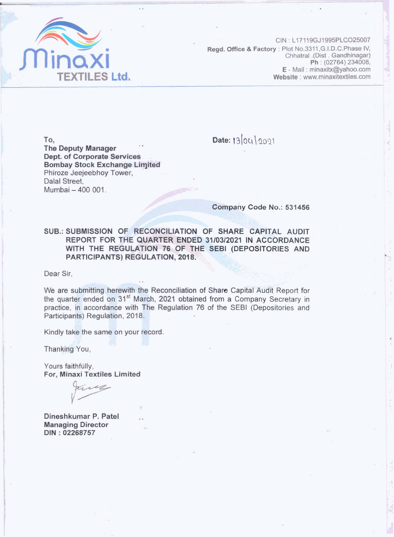

 $CN : L17119GJ1995PLCO25007$ **Read. Office & Factory** : Plot No.3311, G.I.D.C. Phase IV, Chhatral .(Dist. Gandhinagar) **Ph**:  $(02764) 234008$ , **E** - Mail : minaxitx@yahoo.com **Website**: www.minaxitextiles.com

**To, The Deputy Manager Dept. of Corporate Services Bombay Stock Exchange Limited Phiroze Jeejeebhoy Tower,**  Dalal Street. **Mumbai** - **400** 001.

Date: 1304/2001

**Company Code No.: 531456** 

**SUB.: SUBMISSION OF RECONCILIATION OF SHARE CAPITAL AUDIT REPORT FOR THE QUARTER ENDED 31/03/2021 IN ACCORDANCE** WITH THE REGULATION 76 OF THE SEBI (DEPOSITORIES AND **PARTICIPANTS) REGULATION, 2018.** 

**Dear Sir,** - - **\_--** - . - >. - **g** - - -

- - **L8** - @ We are submitting herewith the Reconciliation of Share Capital Audit Report for bear Sir,<br>We are submitting herewith the Reconciliation of Share Capital Audit Report for<br>the quarter ended on 31<sup>st</sup> March, 2021 obtained from a Company Secretary in practice, in accordance with The Regulation 76 of the SEBI (Depositories and **Participants) Regulation, 2018.** 

Kindly take the same on your record.

**Thanking You,** 

**Yours faithfully, For, Minaxi Textiles Limited** 

**Dineshkumar P. Patel Managing Director DIN** : **02268757**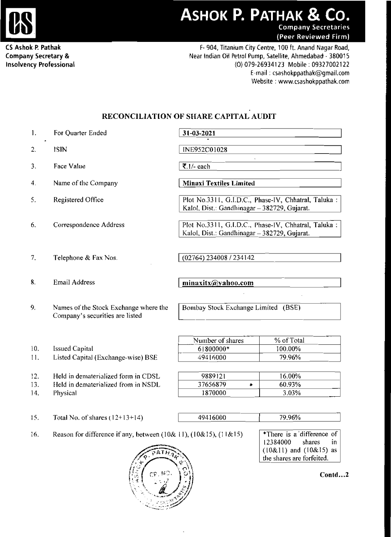

**CS Ashok,F Pathak Company Secretary** & **Insolvency Professional** 

F- **904, Titanium City Centre, 100** ft. **Anand** Nagar **Road, Near Indian Oil** Petrol **Pump, Satellite, Ahmedabad** - 38001 5 **(0) 079-269341 23 Mobile** : **09327002 1** <sup>22</sup> E-mail : csashokppathak@gmail.com **Website** : www.csashokppathak.com **DK P. PATHAK & CO.**<br>
Company Secretaries<br>
(Peer Reviewed Firm)<br>
14, Titanium City Centre, 100 ft. Anand Nagar Road,<br>
(0) 079-26934123 Mobile : 09327002122<br>
E-mail : csashokppathak@gmail.com<br>
Website : www.csashokppathak.c

## **RECONClLlATION OF SHARE CAPITAL AUDIT**

| 1. | For Quarter Ended |  |
|----|-------------------|--|
|----|-------------------|--|

- ISIN  $\overline{2}$ .
- 3. **Face Value**
- Name of the Company  $\boxed{\Lambda}$  $\overline{4}$ .
- 5. **Registered** Office
- 6. Correspondence Address
- 7. **Telephone** & **Fax** Nos
- 

10. Issued Capital

14. **Physical** 

**9. Names** of **the** Stock Exchange **where** the **Company's** securities are listed

<sup>1</sup>**7. l** /- each

**For Quarter Ended** 1 **3 1-03-2021** 

**Minaxi Textiles Limited** 

Plot No.3311, G.I.D.C., Phase-IV, Chhatral, Taluka : Katol. Dist.: Gandhinagar - 382729, Gujarat.

**Plot** No.33 **11, G.I.D.C.,** Phase-IV, Chhatral, **Taluka** : Kalol, Dist.: Gandhinagar - 382729, Gujarat.

(02764) 234008 / 234142

8. Email Address **b** *minaxitx@yahoo.com* 

**Bombay Stock Exchange Limited (BSE)** 

**Number of shares** | % of Total 1800000\* 100.00% 1 1. Listed Capital (Exchange-wise) RSE 49416000 79.96%

| 9889121  | 16.00% |
|----------|--------|
| 37656879 | 60.93% |
| 1870000  | 3.03%  |

 $15.$ Total No. of shares ( $12+13+14$ )

12. Held in dematerialized form in CDSL 13. **Ileld** in dematerialized from in NSDL

| 49416000 | 79.96% |  |
|----------|--------|--|

**Reason for difference if any, between (10& 11), (10& 15), (11& 15) There is a difference of** 16.



12384000 shares in (10&11) and **(IO&15)** as **the shares** are forfeited.

 $Contd...2$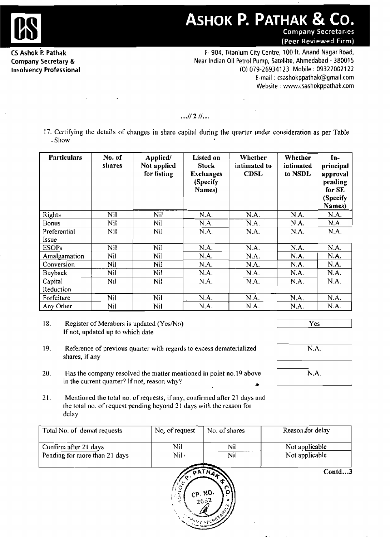

## ASHOK P. PATHAK & CO. **Company Secretaries**

(Peer Reviewed Firm)

**CS Ashok** 'P: **Pathak Company Secretary** & **Insolvency Professional** 

**F- 904, Titanium City Centre, 100** ft. **Anand** Nagar **Road, Near Indian Oil Petrol Pump, Satellite, Ahmedabad** - **380015**  (0) **079-269341 23 Mobile** : **09327002 122 E-mail** : **csashokppathak@gmail.com Website** , **www.csashokppathak.com** 

## $...$ // 2 //...

**17. Certifying the details of changes in share capital during the quarter under consideration as per Table**  - Sllow

| <b>Particulars</b> | No. of<br>shares | Applied/<br>Not applied<br>for listing | Listed on<br><b>Stock</b><br><b>Exchanges</b><br>(Specify<br>Names) | Whether<br>intimated to<br><b>CDSL</b> | Whether<br>intimated<br>to NSDL | In-<br>principal<br>approval<br>pending<br>for SE<br>(Specify<br>Names) |
|--------------------|------------------|----------------------------------------|---------------------------------------------------------------------|----------------------------------------|---------------------------------|-------------------------------------------------------------------------|
| Rights             | Nil              | Nil.                                   | N.A.                                                                | N.A.                                   | N.A.                            | N.A.                                                                    |
| <b>Bonus</b>       | Nil              | Nil                                    | N.A.                                                                | N.A.                                   | N.A.                            | N.A.                                                                    |
| Preferential       | Nil              | Nil                                    | N.A.                                                                | N.A.                                   | N.A.                            | N.A.                                                                    |
| <b>Issue</b>       |                  |                                        |                                                                     |                                        |                                 |                                                                         |
| <b>ESOPs</b>       | Nil              | Nil                                    | N.A.                                                                | N.A.                                   | N.A.                            | N.A.                                                                    |
| Amalgamation       | Nil              | Nil                                    | N.A.                                                                | N.A.                                   | N.A.                            | N.A.                                                                    |
| Conversion         | Nil              | Nil                                    | N.A.                                                                | N.A.                                   | N.A.                            | N.A.                                                                    |
| Buyback            | Nil              | Nil                                    | N.A.                                                                | N.A.                                   | N.A.                            | N.A.                                                                    |
| Capital            | Nil              | Nil                                    | N.A.                                                                | ' N.A.                                 | N.A.                            | N.A.                                                                    |
| Reduction          |                  |                                        |                                                                     |                                        |                                 |                                                                         |
| Forfeiture         | Nil              | Nil                                    | N.A.                                                                | N.A.                                   | N.A.                            | N.A.                                                                    |
| Any Other          | Nil              | Nil                                    | N.A.                                                                | N.A.                                   | N.A.                            | N.A.                                                                    |

**<sup>18.</sup> Register** of **Members is updated (YesMo) If** not, updated **up to which date** 

- 1 9. **Reference of previous quarter with regards to excess dematerialized shares, if any**
- 20. Has the company resolved the matter mentioned in point no. 19 above in the current quarter? If not, reason why?
- N.A. N.A.

**Yes** 

2 1. **Mentioned the total no.** of **requests,** if any, **coutirrned after 21 days and**  the total no. of request pending beyond 21 days with the reason for **delay** 

| Total No. of demat requests   | No, of request | No. of shares | Reason for delay |
|-------------------------------|----------------|---------------|------------------|
| Confirm after 21 days         | Nil            | Nil           | Not applicable   |
| Pending for more than 21 days | $Nil -$        | Nil           | Not applicable   |
|                               |                |               | Contd3           |